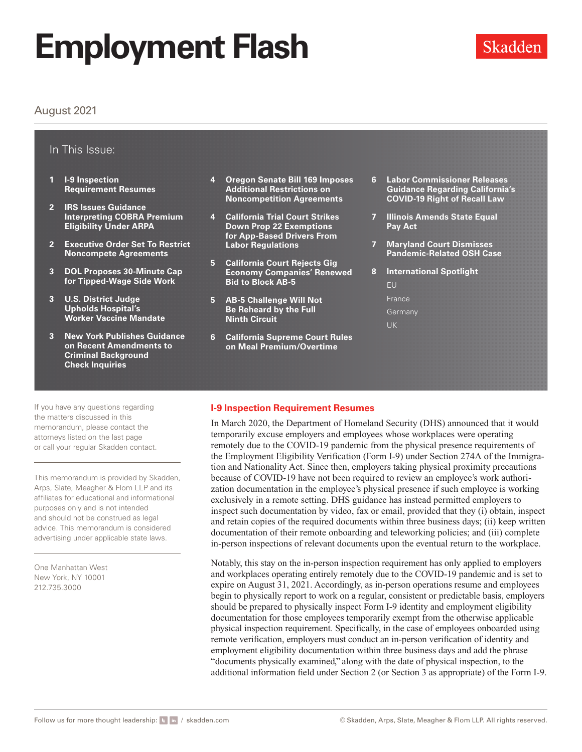### August 2021

### In This Issue:

- **1 I-9 Inspection Requirement Resumes**
- **2 [IRS Issues Guidance](#page-1-0)  [Interpreting COBRA Premium](#page-1-0)  [Eligibility Under ARPA](#page-1-0)**
- **2 [Executive Order Set To Restrict](#page-1-0)  [Noncompete Agreements](#page-1-0)**
- **3 [DOL Proposes 30-Minute Cap](#page-2-0)  [for Tipped-Wage Side Work](#page-2-0)**
- **3 [U.S. District Judge](#page-2-0)  [Upholds Hospital's](#page-2-0)  [Worker Vaccine Mandate](#page-2-0)**
- **3 [New York Publishes Guidance](#page-2-0)  [on Recent Amendments to](#page-2-0)  [Criminal Background](#page-2-0)  [Check Inquiries](#page-2-0)**
- **4 [Oregon Senate Bill 169 Imposes](#page-3-0)  [Additional Restrictions on](#page-3-0)  [Noncompetition Agreements](#page-3-0)**
- **4 [California Trial Court Strikes](#page-3-0)  [Down Prop 22 Exemptions](#page-3-0)  [for App-Based Drivers From](#page-3-0)  [Labor Regulations](#page-3-0)**
- **5 [California Court Rejects Gig](#page-4-0)  [Economy Companies' Renewed](#page-4-0)  [Bid to Block AB-5](#page-4-0)**
- **5 [AB-5 Challenge Will Not](#page-4-0)  [Be Reheard by the Full](#page-4-0)  [Ninth Circuit](#page-4-0)**
- **6 [California Supreme Court Rules](#page-5-0)  [on Meal Premium/Overtime](#page-5-0)**
- **6 [Labor Commissioner Releases](#page-5-0)  [Guidance Regarding California's](#page-5-0)  [COVID-19 Right of Recall Law](#page-5-0)**
- **7 [Illinois Amends State Equal](#page-6-0)  [Pay Act](#page-6-0)**
- **7 [Maryland Court Dismisses](#page-6-0)  [Pandemic-Related OSH Case](#page-6-0)**
- **8 [International Spotlight](#page-7-0)** [EU](#page-7-0) [France](#page-7-0) [Germany](#page-8-0) [UK](#page-8-0)

If you have any questions regarding the matters discussed in this memorandum, please contact the attorneys listed on the last page or call your regular Skadden contact.

This memorandum is provided by Skadden, Arps, Slate, Meagher & Flom LLP and its affiliates for educational and informational purposes only and is not intended and should not be construed as legal advice. This memorandum is considered advertising under applicable state laws.

One Manhattan West New York, NY 10001 212.735.3000

### **I-9 Inspection Requirement Resumes**

In March 2020, the Department of Homeland Security (DHS) announced that it would temporarily excuse employers and employees whose workplaces were operating remotely due to the COVID-19 pandemic from the physical presence requirements of the Employment Eligibility Verification (Form I-9) under Section 274A of the Immigration and Nationality Act. Since then, employers taking physical proximity precautions because of COVID-19 have not been required to review an employee's work authorization documentation in the employee's physical presence if such employee is working exclusively in a remote setting. DHS guidance has instead permitted employers to inspect such documentation by video, fax or email, provided that they (i) obtain, inspect and retain copies of the required documents within three business days; (ii) keep written documentation of their remote onboarding and teleworking policies; and (iii) complete in-person inspections of relevant documents upon the eventual return to the workplace.

Notably, this stay on the in-person inspection requirement has only applied to employers and workplaces operating entirely remotely due to the COVID-19 pandemic and is set to expire on August 31, 2021. Accordingly, as in-person operations resume and employees begin to physically report to work on a regular, consistent or predictable basis, employers should be prepared to physically inspect Form I-9 identity and employment eligibility documentation for those employees temporarily exempt from the otherwise applicable physical inspection requirement. Specifically, in the case of employees onboarded using remote verification, employers must conduct an in-person verification of identity and employment eligibility documentation within three business days and add the phrase "documents physically examined," along with the date of physical inspection, to the additional information field under Section 2 (or Section 3 as appropriate) of the Form I-9.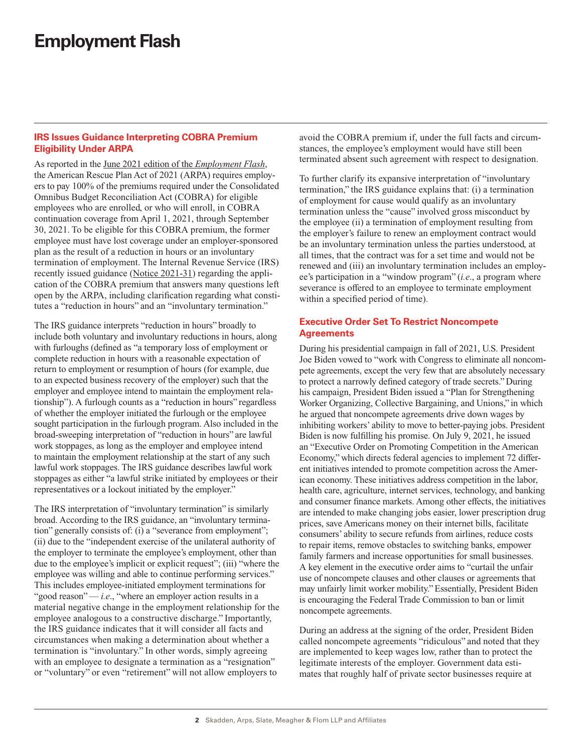### <span id="page-1-0"></span>**IRS Issues Guidance Interpreting COBRA Premium Eligibility Under ARPA**

As reported in the [June 2021 edition of the](https://www.skadden.com/insights/publications/2021/06/employment-flash) *Employment Flash*, the American Rescue Plan Act of 2021 (ARPA) requires employers to pay 100% of the premiums required under the Consolidated Omnibus Budget Reconciliation Act (COBRA) for eligible employees who are enrolled, or who will enroll, in COBRA continuation coverage from April 1, 2021, through September 30, 2021. To be eligible for this COBRA premium, the former employee must have lost coverage under an employer-sponsored plan as the result of a reduction in hours or an involuntary termination of employment. The Internal Revenue Service (IRS) recently issued guidance ([Notice 2021-31](https://www.skadden.com/-/media/files/publications/2021/08/employment-flash/notice-2021-31.pdf)) regarding the application of the COBRA premium that answers many questions left open by the ARPA, including clarification regarding what constitutes a "reduction in hours" and an "involuntary termination."

The IRS guidance interprets "reduction in hours" broadly to include both voluntary and involuntary reductions in hours, along with furloughs (defined as "a temporary loss of employment or complete reduction in hours with a reasonable expectation of return to employment or resumption of hours (for example, due to an expected business recovery of the employer) such that the employer and employee intend to maintain the employment relationship"). A furlough counts as a "reduction in hours" regardless of whether the employer initiated the furlough or the employee sought participation in the furlough program. Also included in the broad-sweeping interpretation of "reduction in hours" are lawful work stoppages, as long as the employer and employee intend to maintain the employment relationship at the start of any such lawful work stoppages. The IRS guidance describes lawful work stoppages as either "a lawful strike initiated by employees or their representatives or a lockout initiated by the employer."

The IRS interpretation of "involuntary termination" is similarly broad. According to the IRS guidance, an "involuntary termination" generally consists of: (i) a "severance from employment"; (ii) due to the "independent exercise of the unilateral authority of the employer to terminate the employee's employment, other than due to the employee's implicit or explicit request"; (iii) "where the employee was willing and able to continue performing services." This includes employee-initiated employment terminations for "good reason" — *i.e.*, "where an employer action results in a material negative change in the employment relationship for the employee analogous to a constructive discharge." Importantly, the IRS guidance indicates that it will consider all facts and circumstances when making a determination about whether a termination is "involuntary." In other words, simply agreeing with an employee to designate a termination as a "resignation" or "voluntary" or even "retirement" will not allow employers to

avoid the COBRA premium if, under the full facts and circumstances, the employee's employment would have still been terminated absent such agreement with respect to designation.

To further clarify its expansive interpretation of "involuntary termination," the IRS guidance explains that: (i) a termination of employment for cause would qualify as an involuntary termination unless the "cause" involved gross misconduct by the employee (ii) a termination of employment resulting from the employer's failure to renew an employment contract would be an involuntary termination unless the parties understood, at all times, that the contract was for a set time and would not be renewed and (iii) an involuntary termination includes an employee's participation in a "window program" (*i.e*., a program where severance is offered to an employee to terminate employment within a specified period of time).

### **Executive Order Set To Restrict Noncompete Agreements**

During his presidential campaign in fall of 2021, U.S. President Joe Biden vowed to "work with Congress to eliminate all noncompete agreements, except the very few that are absolutely necessary to protect a narrowly defined category of trade secrets." During his campaign, President Biden issued a "Plan for Strengthening Worker Organizing, Collective Bargaining, and Unions," in which he argued that noncompete agreements drive down wages by inhibiting workers' ability to move to better-paying jobs. President Biden is now fulfilling his promise. On July 9, 2021, he issued an "Executive Order on Promoting Competition in the American Economy," which directs federal agencies to implement 72 different initiatives intended to promote competition across the American economy. These initiatives address competition in the labor, health care, agriculture, internet services, technology, and banking and consumer finance markets. Among other effects, the initiatives are intended to make changing jobs easier, lower prescription drug prices, save Americans money on their internet bills, facilitate consumers' ability to secure refunds from airlines, reduce costs to repair items, remove obstacles to switching banks, empower family farmers and increase opportunities for small businesses. A key element in the executive order aims to "curtail the unfair use of noncompete clauses and other clauses or agreements that may unfairly limit worker mobility." Essentially, President Biden is encouraging the Federal Trade Commission to ban or limit noncompete agreements.

During an address at the signing of the order, President Biden called noncompete agreements "ridiculous" and noted that they are implemented to keep wages low, rather than to protect the legitimate interests of the employer. Government data estimates that roughly half of private sector businesses require at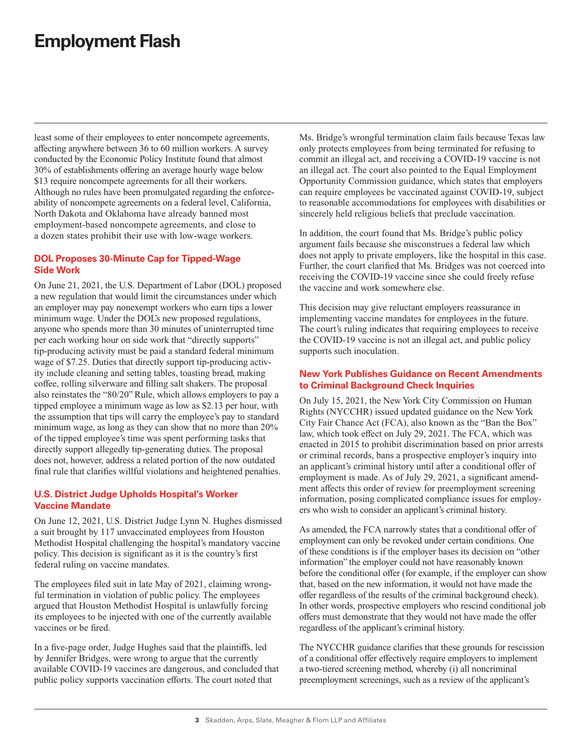<span id="page-2-0"></span>least some of their employees to enter noncompete agreements, affecting anywhere between 36 to 60 million workers. A survey conducted by the Economic Policy Institute found that almost 30% of establishments offering an average hourly wage below \$13 require noncompete agreements for all their workers. Although no rules have been promulgated regarding the enforceability of noncompete agreements on a federal level, California, North Dakota and Oklahoma have already banned most employment-based noncompete agreements, and close to a dozen states prohibit their use with low-wage workers.

### **DOL Proposes 30-Minute Cap for Tipped-Wage Side Work**

On June 21, 2021, the U.S. Department of Labor (DOL) proposed a new regulation that would limit the circumstances under which an employer may pay nonexempt workers who earn tips a lower minimum wage. Under the DOL's new proposed regulations, anyone who spends more than 30 minutes of uninterrupted time per each working hour on side work that "directly supports" tip-producing activity must be paid a standard federal minimum wage of \$7.25. Duties that directly support tip-producing activity include cleaning and setting tables, toasting bread, making coffee, rolling silverware and filling salt shakers. The proposal also reinstates the "80/20" Rule, which allows employers to pay a tipped employee a minimum wage as low as \$2.13 per hour, with the assumption that tips will carry the employee's pay to standard minimum wage, as long as they can show that no more than 20% of the tipped employee's time was spent performing tasks that directly support allegedly tip-generating duties. The proposal does not, however, address a related portion of the now outdated final rule that clarifies willful violations and heightened penalties.

### **U.S. District Judge Upholds Hospital's Worker Vaccine Mandate**

On June 12, 2021, U.S. District Judge Lynn N. Hughes dismissed a suit brought by 117 unvaccinated employees from Houston Methodist Hospital challenging the hospital's mandatory vaccine policy. This decision is significant as it is the country's first federal ruling on vaccine mandates.

The employees filed suit in late May of 2021, claiming wrongful termination in violation of public policy. The employees argued that Houston Methodist Hospital is unlawfully forcing its employees to be injected with one of the currently available vaccines or be fired.

In a five-page order, Judge Hughes said that the plaintiffs, led by Jennifer Bridges, were wrong to argue that the currently available COVID-19 vaccines are dangerous, and concluded that public policy supports vaccination efforts. The court noted that

Ms. Bridge's wrongful termination claim fails because Texas law only protects employees from being terminated for refusing to commit an illegal act, and receiving a COVID-19 vaccine is not an illegal act. The court also pointed to the Equal Employment Opportunity Commission guidance, which states that employers can require employees be vaccinated against COVID-19, subject to reasonable accommodations for employees with disabilities or sincerely held religious beliefs that preclude vaccination.

In addition, the court found that Ms. Bridge's public policy argument fails because she misconstrues a federal law which does not apply to private employers, like the hospital in this case. Further, the court clarified that Ms. Bridges was not coerced into receiving the COVID-19 vaccine since she could freely refuse the vaccine and work somewhere else.

This decision may give reluctant employers reassurance in implementing vaccine mandates for employees in the future. The court's ruling indicates that requiring employees to receive the COVID-19 vaccine is not an illegal act, and public policy supports such inoculation.

### **New York Publishes Guidance on Recent Amendments to Criminal Background Check Inquiries**

On July 15, 2021, the New York City Commission on Human Rights (NYCCHR) issued updated guidance on the New York City Fair Chance Act (FCA), also known as the "Ban the Box" law, which took effect on July 29, 2021. The FCA, which was enacted in 2015 to prohibit discrimination based on prior arrests or criminal records, bans a prospective employer's inquiry into an applicant's criminal history until after a conditional offer of employment is made. As of July 29, 2021, a significant amendment affects this order of review for preemployment screening information, posing complicated compliance issues for employers who wish to consider an applicant's criminal history.

As amended, the FCA narrowly states that a conditional offer of employment can only be revoked under certain conditions. One of these conditions is if the employer bases its decision on "other information" the employer could not have reasonably known before the conditional offer (for example, if the employer can show that, based on the new information, it would not have made the offer regardless of the results of the criminal background check). In other words, prospective employers who rescind conditional job offers must demonstrate that they would not have made the offer regardless of the applicant's criminal history.

The NYCCHR guidance clarifies that these grounds for rescission of a conditional offer effectively require employers to implement a two-tiered screening method, whereby (i) all noncriminal preemployment screenings, such as a review of the applicant's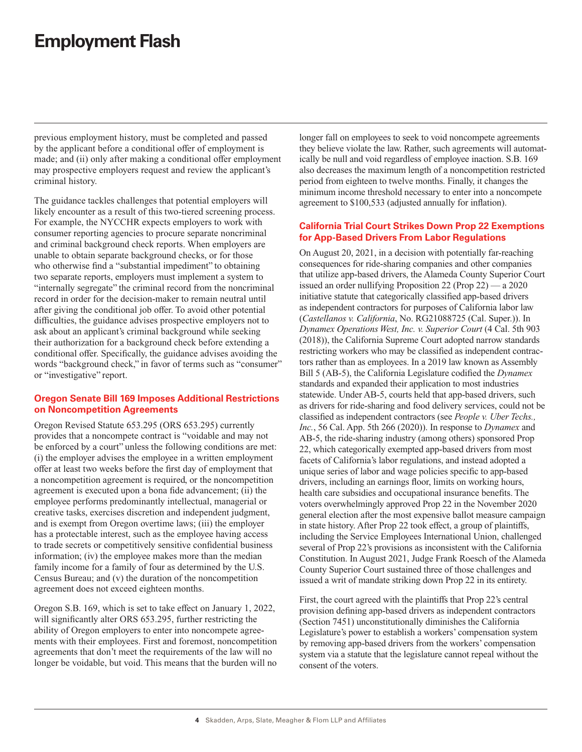<span id="page-3-0"></span>previous employment history, must be completed and passed by the applicant before a conditional offer of employment is made; and (ii) only after making a conditional offer employment may prospective employers request and review the applicant's criminal history.

The guidance tackles challenges that potential employers will likely encounter as a result of this two-tiered screening process. For example, the NYCCHR expects employers to work with consumer reporting agencies to procure separate noncriminal and criminal background check reports. When employers are unable to obtain separate background checks, or for those who otherwise find a "substantial impediment" to obtaining two separate reports, employers must implement a system to "internally segregate" the criminal record from the noncriminal record in order for the decision-maker to remain neutral until after giving the conditional job offer. To avoid other potential difficulties, the guidance advises prospective employers not to ask about an applicant's criminal background while seeking their authorization for a background check before extending a conditional offer. Specifically, the guidance advises avoiding the words "background check," in favor of terms such as "consumer" or "investigative" report.

### **Oregon Senate Bill 169 Imposes Additional Restrictions on Noncompetition Agreements**

Oregon Revised Statute 653.295 (ORS 653.295) currently provides that a noncompete contract is "voidable and may not be enforced by a court" unless the following conditions are met: (i) the employer advises the employee in a written employment offer at least two weeks before the first day of employment that a noncompetition agreement is required, or the noncompetition agreement is executed upon a bona fide advancement; (ii) the employee performs predominantly intellectual, managerial or creative tasks, exercises discretion and independent judgment, and is exempt from Oregon overtime laws; (iii) the employer has a protectable interest, such as the employee having access to trade secrets or competitively sensitive confidential business information; (iv) the employee makes more than the median family income for a family of four as determined by the U.S. Census Bureau; and (v) the duration of the noncompetition agreement does not exceed eighteen months.

Oregon S.B. 169, which is set to take effect on January 1, 2022, will significantly alter ORS 653.295, further restricting the ability of Oregon employers to enter into noncompete agreements with their employees. First and foremost, noncompetition agreements that don't meet the requirements of the law will no longer be voidable, but void. This means that the burden will no

longer fall on employees to seek to void noncompete agreements they believe violate the law. Rather, such agreements will automatically be null and void regardless of employee inaction. S.B. 169 also decreases the maximum length of a noncompetition restricted period from eighteen to twelve months. Finally, it changes the minimum income threshold necessary to enter into a noncompete agreement to \$100,533 (adjusted annually for inflation).

### **California Trial Court Strikes Down Prop 22 Exemptions for App-Based Drivers From Labor Regulations**

On August 20, 2021, in a decision with potentially far-reaching consequences for ride-sharing companies and other companies that utilize app-based drivers, the Alameda County Superior Court issued an order nullifying Proposition 22 (Prop 22) — a 2020 initiative statute that categorically classified app-based drivers as independent contractors for purposes of California labor law (*Castellanos v. California*, No. RG21088725 (Cal. Super.)). In *Dynamex Operations West, Inc. v. Superior Court* (4 Cal. 5th 903 (2018)), the California Supreme Court adopted narrow standards restricting workers who may be classified as independent contractors rather than as employees. In a 2019 law known as Assembly Bill 5 (AB-5), the California Legislature codified the *Dynamex* standards and expanded their application to most industries statewide. Under AB-5, courts held that app-based drivers, such as drivers for ride-sharing and food delivery services, could not be classified as independent contractors (see *People v. Uber Techs., Inc.*, 56 Cal. App. 5th 266 (2020)). In response to *Dynamex* and AB-5, the ride-sharing industry (among others) sponsored Prop 22, which categorically exempted app-based drivers from most facets of California's labor regulations, and instead adopted a unique series of labor and wage policies specific to app-based drivers, including an earnings floor, limits on working hours, health care subsidies and occupational insurance benefits. The voters overwhelmingly approved Prop 22 in the November 2020 general election after the most expensive ballot measure campaign in state history. After Prop 22 took effect, a group of plaintiffs, including the Service Employees International Union, challenged several of Prop 22's provisions as inconsistent with the California Constitution. In August 2021, Judge Frank Roesch of the Alameda County Superior Court sustained three of those challenges and issued a writ of mandate striking down Prop 22 in its entirety.

First, the court agreed with the plaintiffs that Prop 22's central provision defining app-based drivers as independent contractors (Section 7451) unconstitutionally diminishes the California Legislature's power to establish a workers' compensation system by removing app-based drivers from the workers' compensation system via a statute that the legislature cannot repeal without the consent of the voters.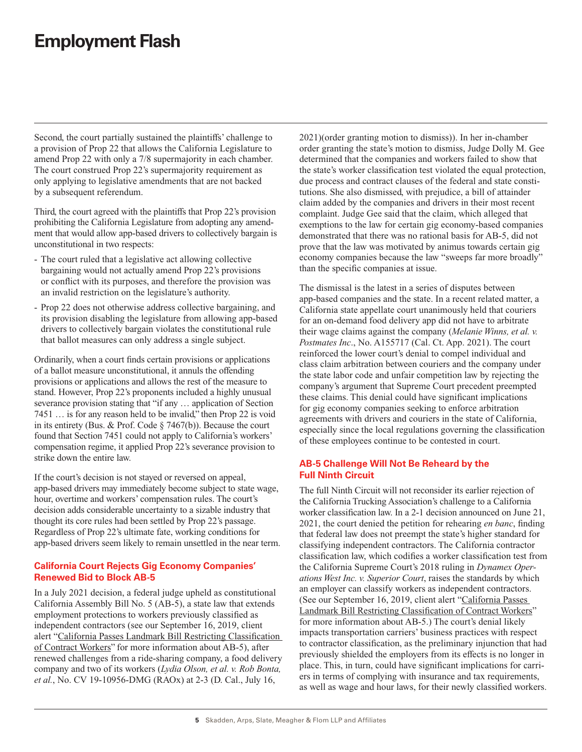<span id="page-4-0"></span>Second, the court partially sustained the plaintiffs' challenge to a provision of Prop 22 that allows the California Legislature to amend Prop 22 with only a 7/8 supermajority in each chamber. The court construed Prop 22's supermajority requirement as only applying to legislative amendments that are not backed by a subsequent referendum.

Third, the court agreed with the plaintiffs that Prop 22's provision prohibiting the California Legislature from adopting any amendment that would allow app-based drivers to collectively bargain is unconstitutional in two respects:

- The court ruled that a legislative act allowing collective bargaining would not actually amend Prop 22's provisions or conflict with its purposes, and therefore the provision was an invalid restriction on the legislature's authority.
- Prop 22 does not otherwise address collective bargaining, and its provision disabling the legislature from allowing app-based drivers to collectively bargain violates the constitutional rule that ballot measures can only address a single subject.

Ordinarily, when a court finds certain provisions or applications of a ballot measure unconstitutional, it annuls the offending provisions or applications and allows the rest of the measure to stand. However, Prop 22's proponents included a highly unusual severance provision stating that "if any … application of Section 7451 … is for any reason held to be invalid," then Prop 22 is void in its entirety (Bus. & Prof. Code § 7467(b)). Because the court found that Section 7451 could not apply to California's workers' compensation regime, it applied Prop 22's severance provision to strike down the entire law.

If the court's decision is not stayed or reversed on appeal, app-based drivers may immediately become subject to state wage, hour, overtime and workers' compensation rules. The court's decision adds considerable uncertainty to a sizable industry that thought its core rules had been settled by Prop 22's passage. Regardless of Prop 22's ultimate fate, working conditions for app-based drivers seem likely to remain unsettled in the near term.

### **California Court Rejects Gig Economy Companies' Renewed Bid to Block AB-5**

In a July 2021 decision, a federal judge upheld as constitutional California Assembly Bill No. 5 (AB-5), a state law that extends employment protections to workers previously classified as independent contractors (see our September 16, 2019, client alert "[California Passes Landmark Bill Restricting Classification](https://www.skadden.com/insights/publications/2019/09/california-passes-landmark-bill)  [of Contract Workers"](https://www.skadden.com/insights/publications/2019/09/california-passes-landmark-bill) for more information about AB-5), after renewed challenges from a ride-sharing company, a food delivery company and two of its workers (*Lydia Olson, et al. v. Rob Bonta, et al.*, No. CV 19-10956-DMG (RAOx) at 2-3 (D. Cal., July 16,

2021)(order granting motion to dismiss)). In her in-chamber order granting the state's motion to dismiss, Judge Dolly M. Gee determined that the companies and workers failed to show that the state's worker classification test violated the equal protection, due process and contract clauses of the federal and state constitutions. She also dismissed, with prejudice, a bill of attainder claim added by the companies and drivers in their most recent complaint. Judge Gee said that the claim, which alleged that exemptions to the law for certain gig economy-based companies demonstrated that there was no rational basis for AB-5, did not prove that the law was motivated by animus towards certain gig economy companies because the law "sweeps far more broadly" than the specific companies at issue.

The dismissal is the latest in a series of disputes between app-based companies and the state. In a recent related matter, a California state appellate court unanimously held that couriers for an on-demand food delivery app did not have to arbitrate their wage claims against the company (*Melanie Winns, et al. v. Postmates Inc*., No. A155717 (Cal. Ct. App. 2021). The court reinforced the lower court's denial to compel individual and class claim arbitration between couriers and the company under the state labor code and unfair competition law by rejecting the company's argument that Supreme Court precedent preempted these claims. This denial could have significant implications for gig economy companies seeking to enforce arbitration agreements with drivers and couriers in the state of California, especially since the local regulations governing the classification of these employees continue to be contested in court.

### **AB-5 Challenge Will Not Be Reheard by the Full Ninth Circuit**

The full Ninth Circuit will not reconsider its earlier rejection of the California Trucking Association's challenge to a California worker classification law. In a 2-1 decision announced on June 21, 2021, the court denied the petition for rehearing *en banc*, finding that federal law does not preempt the state's higher standard for classifying independent contractors. The California contractor classification law, which codifies a worker classification test from the California Supreme Court's 2018 ruling in *Dynamex Operations West Inc. v. Superior Court*, raises the standards by which an employer can classify workers as independent contractors. (See our September 16, 2019, client alert "[California Passes](https://www.skadden.com/insights/publications/2019/09/california-passes-landmark-bill)  [Landmark Bill Restricting Classification of Contract Workers](https://www.skadden.com/insights/publications/2019/09/california-passes-landmark-bill)" for more information about AB-5.) The court's denial likely impacts transportation carriers' business practices with respect to contractor classification, as the preliminary injunction that had previously shielded the employers from its effects is no longer in place. This, in turn, could have significant implications for carriers in terms of complying with insurance and tax requirements, as well as wage and hour laws, for their newly classified workers.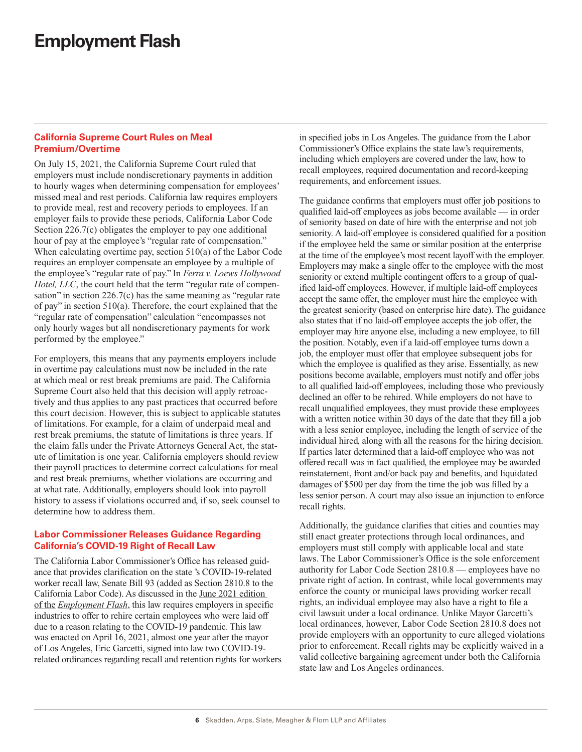### <span id="page-5-0"></span>**California Supreme Court Rules on Meal Premium/Overtime**

On July 15, 2021, the California Supreme Court ruled that employers must include nondiscretionary payments in addition to hourly wages when determining compensation for employees' missed meal and rest periods. California law requires employers to provide meal, rest and recovery periods to employees. If an employer fails to provide these periods, California Labor Code Section 226.7(c) obligates the employer to pay one additional hour of pay at the employee's "regular rate of compensation." When calculating overtime pay, section 510(a) of the Labor Code requires an employer compensate an employee by a multiple of the employee's "regular rate of pay." In *Ferra v. Loews Hollywood Hotel, LLC*, the court held that the term "regular rate of compensation" in section 226.7(c) has the same meaning as "regular rate of pay" in section 510(a). Therefore, the court explained that the "regular rate of compensation" calculation "encompasses not only hourly wages but all nondiscretionary payments for work performed by the employee."

For employers, this means that any payments employers include in overtime pay calculations must now be included in the rate at which meal or rest break premiums are paid. The California Supreme Court also held that this decision will apply retroactively and thus applies to any past practices that occurred before this court decision. However, this is subject to applicable statutes of limitations. For example, for a claim of underpaid meal and rest break premiums, the statute of limitations is three years. If the claim falls under the Private Attorneys General Act, the statute of limitation is one year. California employers should review their payroll practices to determine correct calculations for meal and rest break premiums, whether violations are occurring and at what rate. Additionally, employers should look into payroll history to assess if violations occurred and, if so, seek counsel to determine how to address them.

### **Labor Commissioner Releases Guidance Regarding California's COVID-19 Right of Recall Law**

The California Labor Commissioner's Office has released guidance that provides clarification on the state 's COVID-19-related worker recall law, Senate Bill 93 (added as Section 2810.8 to the California Labor Code). As discussed in the [June 2021 edition](https://www.skadden.com/insights/publications/2021/06/employment-flash)  of the *[Employment Flash](https://www.skadden.com/insights/publications/2021/06/employment-flash)*, this law requires employers in specific industries to offer to rehire certain employees who were laid off due to a reason relating to the COVID-19 pandemic. This law was enacted on April 16, 2021, almost one year after the mayor of Los Angeles, Eric Garcetti, signed into law two COVID-19 related ordinances regarding recall and retention rights for workers in specified jobs in Los Angeles. The guidance from the Labor Commissioner's Office explains the state law's requirements, including which employers are covered under the law, how to recall employees, required documentation and record-keeping requirements, and enforcement issues.

The guidance confirms that employers must offer job positions to qualified laid-off employees as jobs become available — in order of seniority based on date of hire with the enterprise and not job seniority. A laid-off employee is considered qualified for a position if the employee held the same or similar position at the enterprise at the time of the employee's most recent layoff with the employer. Employers may make a single offer to the employee with the most seniority or extend multiple contingent offers to a group of qualified laid-off employees. However, if multiple laid-off employees accept the same offer, the employer must hire the employee with the greatest seniority (based on enterprise hire date). The guidance also states that if no laid-off employee accepts the job offer, the employer may hire anyone else, including a new employee, to fill the position. Notably, even if a laid-off employee turns down a job, the employer must offer that employee subsequent jobs for which the employee is qualified as they arise. Essentially, as new positions become available, employers must notify and offer jobs to all qualified laid-off employees, including those who previously declined an offer to be rehired. While employers do not have to recall unqualified employees, they must provide these employees with a written notice within 30 days of the date that they fill a job with a less senior employee, including the length of service of the individual hired, along with all the reasons for the hiring decision. If parties later determined that a laid-off employee who was not offered recall was in fact qualified, the employee may be awarded reinstatement, front and/or back pay and benefits, and liquidated damages of \$500 per day from the time the job was filled by a less senior person. A court may also issue an injunction to enforce recall rights.

Additionally, the guidance clarifies that cities and counties may still enact greater protections through local ordinances, and employers must still comply with applicable local and state laws. The Labor Commissioner's Office is the sole enforcement authority for Labor Code Section 2810.8 — employees have no private right of action. In contrast, while local governments may enforce the county or municipal laws providing worker recall rights, an individual employee may also have a right to file a civil lawsuit under a local ordinance. Unlike Mayor Garcetti's local ordinances, however, Labor Code Section 2810.8 does not provide employers with an opportunity to cure alleged violations prior to enforcement. Recall rights may be explicitly waived in a valid collective bargaining agreement under both the California state law and Los Angeles ordinances.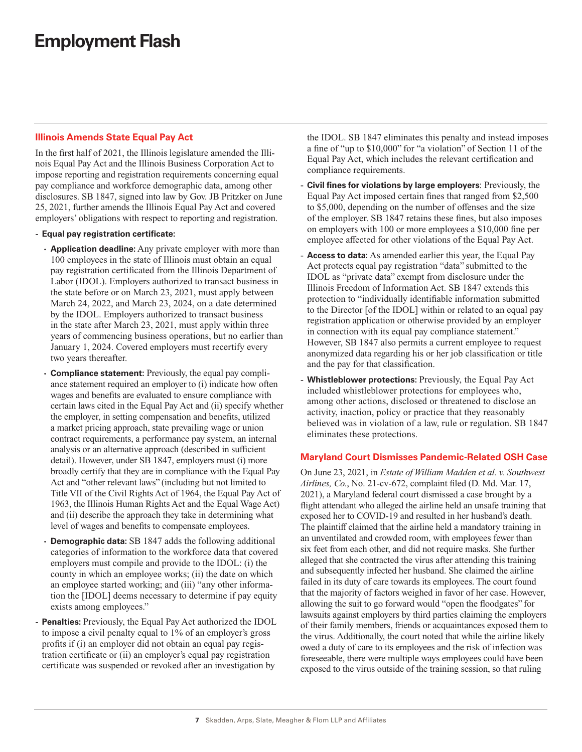### <span id="page-6-0"></span>**Illinois Amends State Equal Pay Act**

In the first half of 2021, the Illinois legislature amended the Illinois Equal Pay Act and the Illinois Business Corporation Act to impose reporting and registration requirements concerning equal pay compliance and workforce demographic data, among other disclosures. SB 1847, signed into law by Gov. JB Pritzker on June 25, 2021, further amends the Illinois Equal Pay Act and covered employers' obligations with respect to reporting and registration.

#### - **Equal pay registration certificate:**

- **Application deadline:** Any private employer with more than 100 employees in the state of Illinois must obtain an equal pay registration certificated from the Illinois Department of Labor (IDOL). Employers authorized to transact business in the state before or on March 23, 2021, must apply between March 24, 2022, and March 23, 2024, on a date determined by the IDOL. Employers authorized to transact business in the state after March 23, 2021, must apply within three years of commencing business operations, but no earlier than January 1, 2024. Covered employers must recertify every two years thereafter.
- **Compliance statement:** Previously, the equal pay compliance statement required an employer to (i) indicate how often wages and benefits are evaluated to ensure compliance with certain laws cited in the Equal Pay Act and (ii) specify whether the employer, in setting compensation and benefits, utilized a market pricing approach, state prevailing wage or union contract requirements, a performance pay system, an internal analysis or an alternative approach (described in sufficient detail). However, under SB 1847, employers must (i) more broadly certify that they are in compliance with the Equal Pay Act and "other relevant laws" (including but not limited to Title VII of the Civil Rights Act of 1964, the Equal Pay Act of 1963, the Illinois Human Rights Act and the Equal Wage Act) and (ii) describe the approach they take in determining what level of wages and benefits to compensate employees.
- **Demographic data:** SB 1847 adds the following additional categories of information to the workforce data that covered employers must compile and provide to the IDOL: (i) the county in which an employee works; (ii) the date on which an employee started working; and (iii) "any other information the [IDOL] deems necessary to determine if pay equity exists among employees."
- **Penalties:** Previously, the Equal Pay Act authorized the IDOL to impose a civil penalty equal to 1% of an employer's gross profits if (i) an employer did not obtain an equal pay registration certificate or (ii) an employer's equal pay registration certificate was suspended or revoked after an investigation by

the IDOL. SB 1847 eliminates this penalty and instead imposes a fine of "up to \$10,000" for "a violation" of Section 11 of the Equal Pay Act, which includes the relevant certification and compliance requirements.

- **Civil fines for violations by large employers**: Previously, the Equal Pay Act imposed certain fines that ranged from \$2,500 to \$5,000, depending on the number of offenses and the size of the employer. SB 1847 retains these fines, but also imposes on employers with 100 or more employees a \$10,000 fine per employee affected for other violations of the Equal Pay Act.
- **Access to data:** As amended earlier this year, the Equal Pay Act protects equal pay registration "data" submitted to the IDOL as "private data" exempt from disclosure under the Illinois Freedom of Information Act. SB 1847 extends this protection to "individually identifiable information submitted to the Director [of the IDOL] within or related to an equal pay registration application or otherwise provided by an employer in connection with its equal pay compliance statement." However, SB 1847 also permits a current employee to request anonymized data regarding his or her job classification or title and the pay for that classification.
- **Whistleblower protections:** Previously, the Equal Pay Act included whistleblower protections for employees who, among other actions, disclosed or threatened to disclose an activity, inaction, policy or practice that they reasonably believed was in violation of a law, rule or regulation. SB 1847 eliminates these protections.

### **Maryland Court Dismisses Pandemic-Related OSH Case**

On June 23, 2021, in *Estate of William Madden et al. v. Southwest Airlines, Co.*, No. 21-cv-672, complaint filed (D. Md. Mar. 17, 2021), a Maryland federal court dismissed a case brought by a flight attendant who alleged the airline held an unsafe training that exposed her to COVID-19 and resulted in her husband's death. The plaintiff claimed that the airline held a mandatory training in an unventilated and crowded room, with employees fewer than six feet from each other, and did not require masks. She further alleged that she contracted the virus after attending this training and subsequently infected her husband. She claimed the airline failed in its duty of care towards its employees. The court found that the majority of factors weighed in favor of her case. However, allowing the suit to go forward would "open the floodgates" for lawsuits against employers by third parties claiming the employers of their family members, friends or acquaintances exposed them to the virus. Additionally, the court noted that while the airline likely owed a duty of care to its employees and the risk of infection was foreseeable, there were multiple ways employees could have been exposed to the virus outside of the training session, so that ruling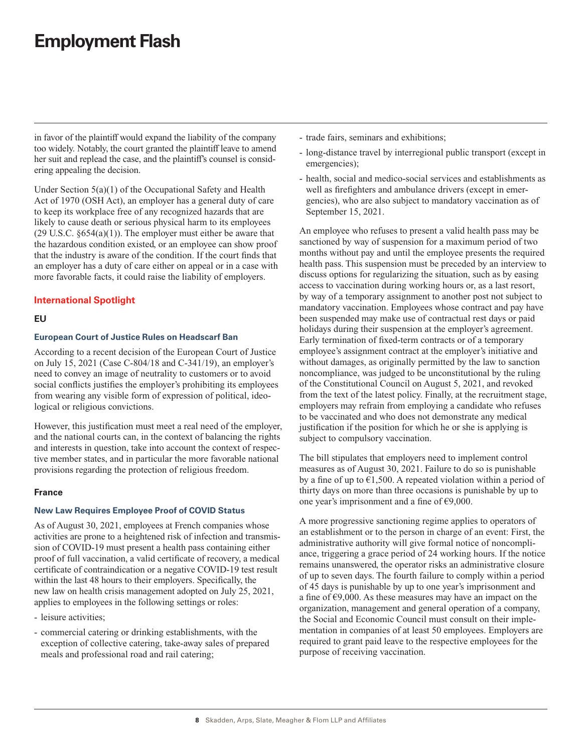<span id="page-7-0"></span>in favor of the plaintiff would expand the liability of the company too widely. Notably, the court granted the plaintiff leave to amend her suit and replead the case, and the plaintiff's counsel is considering appealing the decision.

Under Section 5(a)(1) of the Occupational Safety and Health Act of 1970 (OSH Act), an employer has a general duty of care to keep its workplace free of any recognized hazards that are likely to cause death or serious physical harm to its employees  $(29 \text{ U.S.C. } §654(a)(1))$ . The employer must either be aware that the hazardous condition existed, or an employee can show proof that the industry is aware of the condition. If the court finds that an employer has a duty of care either on appeal or in a case with more favorable facts, it could raise the liability of employers.

### **International Spotlight**

### **EU**

#### **European Court of Justice Rules on Headscarf Ban**

According to a recent decision of the European Court of Justice on July 15, 2021 (Case C-804/18 and C-341/19), an employer's need to convey an image of neutrality to customers or to avoid social conflicts justifies the employer's prohibiting its employees from wearing any visible form of expression of political, ideological or religious convictions.

However, this justification must meet a real need of the employer, and the national courts can, in the context of balancing the rights and interests in question, take into account the context of respective member states, and in particular the more favorable national provisions regarding the protection of religious freedom.

### **France**

#### **New Law Requires Employee Proof of COVID Status**

As of August 30, 2021, employees at French companies whose activities are prone to a heightened risk of infection and transmission of COVID-19 must present a health pass containing either proof of full vaccination, a valid certificate of recovery, a medical certificate of contraindication or a negative COVID-19 test result within the last 48 hours to their employers. Specifically, the new law on health crisis management adopted on July 25, 2021, applies to employees in the following settings or roles:

- leisure activities;
- commercial catering or drinking establishments, with the exception of collective catering, take-away sales of prepared meals and professional road and rail catering;
- trade fairs, seminars and exhibitions;
- long-distance travel by interregional public transport (except in emergencies);
- health, social and medico-social services and establishments as well as firefighters and ambulance drivers (except in emergencies), who are also subject to mandatory vaccination as of September 15, 2021.

An employee who refuses to present a valid health pass may be sanctioned by way of suspension for a maximum period of two months without pay and until the employee presents the required health pass. This suspension must be preceded by an interview to discuss options for regularizing the situation, such as by easing access to vaccination during working hours or, as a last resort, by way of a temporary assignment to another post not subject to mandatory vaccination. Employees whose contract and pay have been suspended may make use of contractual rest days or paid holidays during their suspension at the employer's agreement. Early termination of fixed-term contracts or of a temporary employee's assignment contract at the employer's initiative and without damages, as originally permitted by the law to sanction noncompliance, was judged to be unconstitutional by the ruling of the Constitutional Council on August 5, 2021, and revoked from the text of the latest policy. Finally, at the recruitment stage, employers may refrain from employing a candidate who refuses to be vaccinated and who does not demonstrate any medical justification if the position for which he or she is applying is subject to compulsory vaccination.

The bill stipulates that employers need to implement control measures as of August 30, 2021. Failure to do so is punishable by a fine of up to  $\epsilon$ 1,500. A repeated violation within a period of thirty days on more than three occasions is punishable by up to one year's imprisonment and a fine of  $\epsilon$ 9,000.

A more progressive sanctioning regime applies to operators of an establishment or to the person in charge of an event: First, the administrative authority will give formal notice of noncompliance, triggering a grace period of 24 working hours. If the notice remains unanswered, the operator risks an administrative closure of up to seven days. The fourth failure to comply within a period of 45 days is punishable by up to one year's imprisonment and a fine of  $\epsilon$ 9,000. As these measures may have an impact on the organization, management and general operation of a company, the Social and Economic Council must consult on their implementation in companies of at least 50 employees. Employers are required to grant paid leave to the respective employees for the purpose of receiving vaccination.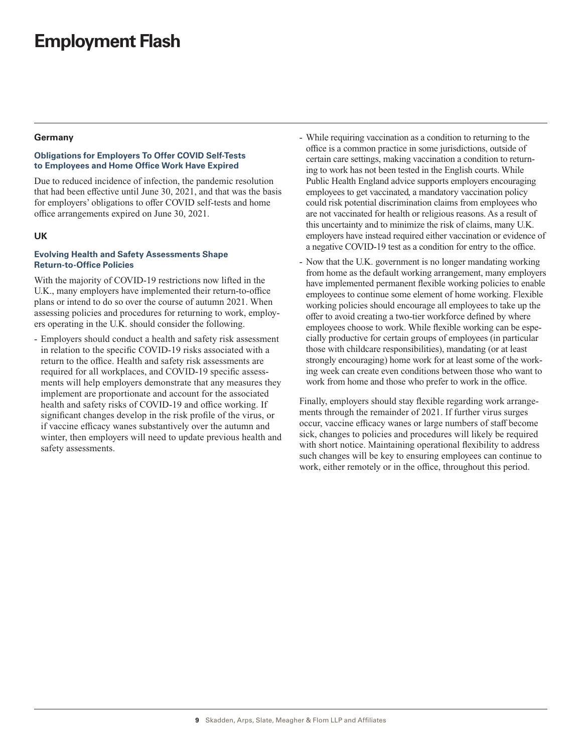#### <span id="page-8-0"></span>**Germany**

#### **Obligations for Employers To Offer COVID Self-Tests to Employees and Home Office Work Have Expired**

Due to reduced incidence of infection, the pandemic resolution that had been effective until June 30, 2021, and that was the basis for employers' obligations to offer COVID self-tests and home office arrangements expired on June 30, 2021.

#### **UK**

#### **Evolving Health and Safety Assessments Shape Return-to-Office Policies**

With the majority of COVID-19 restrictions now lifted in the U.K., many employers have implemented their return-to-office plans or intend to do so over the course of autumn 2021. When assessing policies and procedures for returning to work, employers operating in the U.K. should consider the following.

- Employers should conduct a health and safety risk assessment in relation to the specific COVID-19 risks associated with a return to the office. Health and safety risk assessments are required for all workplaces, and COVID-19 specific assessments will help employers demonstrate that any measures they implement are proportionate and account for the associated health and safety risks of COVID-19 and office working. If significant changes develop in the risk profile of the virus, or if vaccine efficacy wanes substantively over the autumn and winter, then employers will need to update previous health and safety assessments.

- While requiring vaccination as a condition to returning to the office is a common practice in some jurisdictions, outside of certain care settings, making vaccination a condition to returning to work has not been tested in the English courts. While Public Health England advice supports employers encouraging employees to get vaccinated, a mandatory vaccination policy could risk potential discrimination claims from employees who are not vaccinated for health or religious reasons. As a result of this uncertainty and to minimize the risk of claims, many U.K. employers have instead required either vaccination or evidence of a negative COVID-19 test as a condition for entry to the office.
- Now that the U.K. government is no longer mandating working from home as the default working arrangement, many employers have implemented permanent flexible working policies to enable employees to continue some element of home working. Flexible working policies should encourage all employees to take up the offer to avoid creating a two-tier workforce defined by where employees choose to work. While flexible working can be especially productive for certain groups of employees (in particular those with childcare responsibilities), mandating (or at least strongly encouraging) home work for at least some of the working week can create even conditions between those who want to work from home and those who prefer to work in the office.

Finally, employers should stay flexible regarding work arrangements through the remainder of 2021. If further virus surges occur, vaccine efficacy wanes or large numbers of staff become sick, changes to policies and procedures will likely be required with short notice. Maintaining operational flexibility to address such changes will be key to ensuring employees can continue to work, either remotely or in the office, throughout this period.